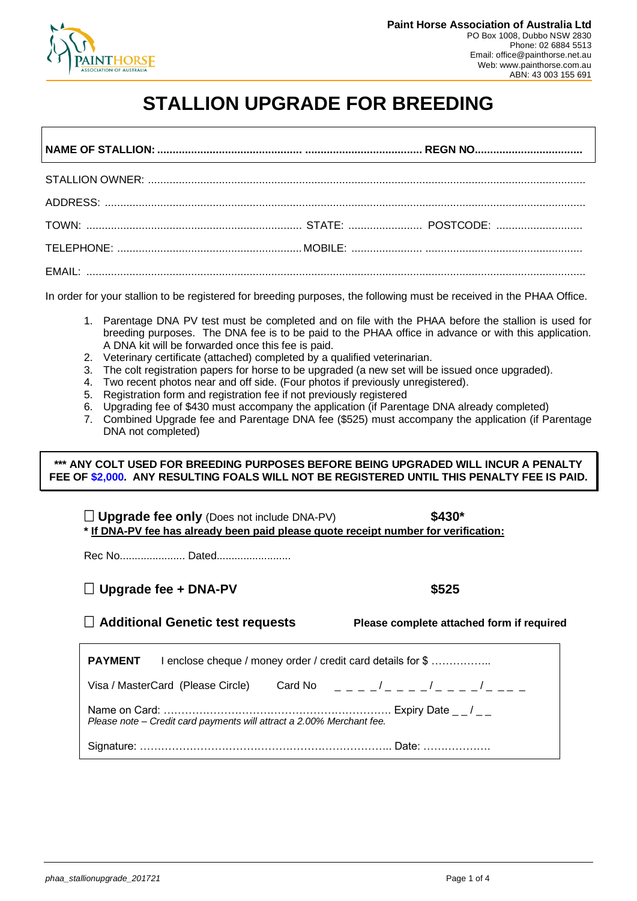

## **STALLION UPGRADE FOR BREEDING**

In order for your stallion to be registered for breeding purposes, the following must be received in the PHAA Office.

- 1. Parentage DNA PV test must be completed and on file with the PHAA before the stallion is used for breeding purposes. The DNA fee is to be paid to the PHAA office in advance or with this application. A DNA kit will be forwarded once this fee is paid.
- 2. Veterinary certificate (attached) completed by a qualified veterinarian.
- 3. The colt registration papers for horse to be upgraded (a new set will be issued once upgraded).
- 4. Two recent photos near and off side. (Four photos if previously unregistered).
- 5. Registration form and registration fee if not previously registered
- 6. Upgrading fee of \$430 must accompany the application (if Parentage DNA already completed)
- 7. Combined Upgrade fee and Parentage DNA fee (\$525) must accompany the application (if Parentage DNA not completed)

**\*\*\* ANY COLT USED FOR BREEDING PURPOSES BEFORE BEING UPGRADED WILL INCUR A PENALTY FEE OF \$2,000. ANY RESULTING FOALS WILL NOT BE REGISTERED UNTIL THIS PENALTY FEE IS PAID.**

 **Upgrade fee only** (Does not include DNA-PV) **\$430\* \* If DNA-PV fee has already been paid please quote receipt number for verification:**

Rec No...................... Dated.........................

#### **Upgrade fee + DNA-PV \$525**

**Additional Genetic test requests Please complete attached form if required**

| <b>PAYMENT</b>                                                        | I enclose cheque / money order / credit card details for \$ |  |
|-----------------------------------------------------------------------|-------------------------------------------------------------|--|
| Visa / MasterCard (Please Circle)                                     | Card No $    /$ $   /$ $   /$ $  -$                         |  |
| Please note - Credit card payments will attract a 2.00% Merchant fee. |                                                             |  |
|                                                                       |                                                             |  |
|                                                                       |                                                             |  |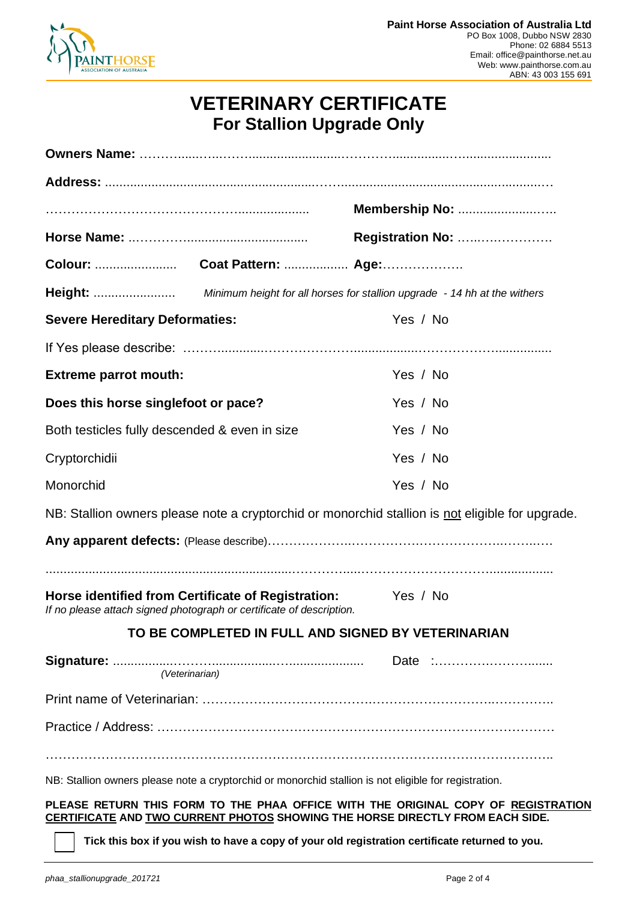

## **VETERINARY CERTIFICATE For Stallion Upgrade Only**

|                                                                                                                                                                    | Membership No:   |
|--------------------------------------------------------------------------------------------------------------------------------------------------------------------|------------------|
|                                                                                                                                                                    | Registration No: |
|                                                                                                                                                                    |                  |
|                                                                                                                                                                    |                  |
| <b>Severe Hereditary Deformaties:</b>                                                                                                                              | Yes / No         |
|                                                                                                                                                                    |                  |
| <b>Extreme parrot mouth:</b>                                                                                                                                       | Yes / No         |
| Does this horse singlefoot or pace?                                                                                                                                | Yes / No         |
| Both testicles fully descended & even in size                                                                                                                      | Yes / No         |
| Cryptorchidii                                                                                                                                                      | Yes / No         |
| Monorchid                                                                                                                                                          | Yes / No         |
| NB: Stallion owners please note a cryptorchid or monorchid stallion is not eligible for upgrade.                                                                   |                  |
|                                                                                                                                                                    |                  |
|                                                                                                                                                                    |                  |
| Horse identified from Certificate of Registration:<br>If no please attach signed photograph or certificate of description.                                         | Yes / No         |
| TO BE COMPLETED IN FULL AND SIGNED BY VETERINARIAN                                                                                                                 |                  |
| (Veterinarian)                                                                                                                                                     |                  |
|                                                                                                                                                                    |                  |
|                                                                                                                                                                    |                  |
|                                                                                                                                                                    |                  |
|                                                                                                                                                                    |                  |
| NB: Stallion owners please note a cryptorchid or monorchid stallion is not eligible for registration.                                                              |                  |
| PLEASE RETURN THIS FORM TO THE PHAA OFFICE WITH THE ORIGINAL COPY OF REGISTRATION<br>CERTIFICATE AND TWO CURRENT PHOTOS SHOWING THE HORSE DIRECTLY FROM EACH SIDE. |                  |
| Tick this box if you wish to have a copy of your old registration certificate returned to you.                                                                     |                  |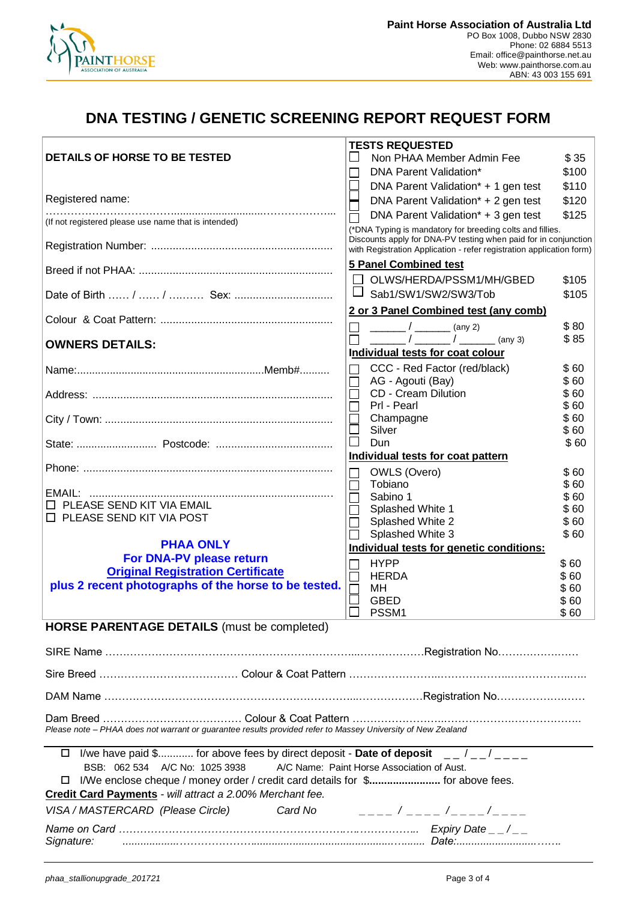

### **DNA TESTING / GENETIC SCREENING REPORT REQUEST FORM**

|                                                                                                             | <b>TESTS REQUESTED</b>                                                                                                                                                                               |              |  |  |
|-------------------------------------------------------------------------------------------------------------|------------------------------------------------------------------------------------------------------------------------------------------------------------------------------------------------------|--------------|--|--|
| DETAILS OF HORSE TO BE TESTED                                                                               | Non PHAA Member Admin Fee                                                                                                                                                                            | \$35         |  |  |
|                                                                                                             | DNA Parent Validation*                                                                                                                                                                               | \$100        |  |  |
|                                                                                                             | DNA Parent Validation <sup>*</sup> + 1 gen test                                                                                                                                                      | \$110        |  |  |
| Registered name:                                                                                            | DNA Parent Validation* + 2 gen test                                                                                                                                                                  | \$120        |  |  |
| (If not registered please use name that is intended)                                                        | DNA Parent Validation* + 3 gen test                                                                                                                                                                  | \$125        |  |  |
|                                                                                                             | (*DNA Typing is mandatory for breeding colts and fillies.<br>Discounts apply for DNA-PV testing when paid for in conjunction<br>with Registration Application - refer registration application form) |              |  |  |
|                                                                                                             | 5 Panel Combined test                                                                                                                                                                                |              |  |  |
|                                                                                                             | OLWS/HERDA/PSSM1/MH/GBED                                                                                                                                                                             | \$105        |  |  |
| Date of Birth  /  /  Sex:                                                                                   | Sab1/SW1/SW2/SW3/Tob                                                                                                                                                                                 | \$105        |  |  |
|                                                                                                             | 2 or 3 Panel Combined test (any comb)<br>$(\text{any } 2)$                                                                                                                                           | \$80         |  |  |
| <b>OWNERS DETAILS:</b>                                                                                      | (any 3)                                                                                                                                                                                              | \$85         |  |  |
|                                                                                                             | Individual tests for coat colour                                                                                                                                                                     |              |  |  |
|                                                                                                             | CCC - Red Factor (red/black)                                                                                                                                                                         | \$60         |  |  |
|                                                                                                             | AG - Agouti (Bay)                                                                                                                                                                                    | \$60         |  |  |
|                                                                                                             | <b>CD</b> - Cream Dilution<br>Prl - Pearl                                                                                                                                                            | \$60<br>\$60 |  |  |
|                                                                                                             | Champagne                                                                                                                                                                                            | \$60         |  |  |
|                                                                                                             | $\Box$<br>Silver                                                                                                                                                                                     | \$60         |  |  |
|                                                                                                             | Dun                                                                                                                                                                                                  | \$60         |  |  |
|                                                                                                             | Individual tests for coat pattern                                                                                                                                                                    |              |  |  |
|                                                                                                             | OWLS (Overo)                                                                                                                                                                                         | \$60         |  |  |
| EMAIL:                                                                                                      | Tobiano                                                                                                                                                                                              | \$60         |  |  |
| PLEASE SEND KIT VIA EMAIL                                                                                   | Sabino 1<br>Splashed White 1                                                                                                                                                                         | \$60<br>\$60 |  |  |
| $\square$ PLEASE SEND KIT VIA POST                                                                          | Splashed White 2                                                                                                                                                                                     | \$60         |  |  |
|                                                                                                             | Splashed White 3                                                                                                                                                                                     | \$60         |  |  |
| <b>PHAA ONLY</b>                                                                                            | Individual tests for genetic conditions:                                                                                                                                                             |              |  |  |
| For DNA-PV please return                                                                                    | <b>HYPP</b>                                                                                                                                                                                          | \$60         |  |  |
| <b>Original Registration Certificate</b>                                                                    | <b>HERDA</b>                                                                                                                                                                                         | \$60         |  |  |
| plus 2 recent photographs of the horse to be tested.                                                        | МH                                                                                                                                                                                                   | \$60         |  |  |
|                                                                                                             | <b>GBED</b><br>PSSM1                                                                                                                                                                                 | \$60<br>\$60 |  |  |
| <b>HORSE PARENTAGE DETAILS</b> (must be completed)                                                          |                                                                                                                                                                                                      |              |  |  |
|                                                                                                             |                                                                                                                                                                                                      |              |  |  |
|                                                                                                             |                                                                                                                                                                                                      |              |  |  |
|                                                                                                             |                                                                                                                                                                                                      |              |  |  |
|                                                                                                             |                                                                                                                                                                                                      |              |  |  |
| Please note - PHAA does not warrant or guarantee results provided refer to Massey University of New Zealand |                                                                                                                                                                                                      |              |  |  |
| $\Box$ I/we have paid \$ for above fees by direct deposit - Date of deposit $\Box$ / $\Box$ /               |                                                                                                                                                                                                      |              |  |  |
| BSB: 062 534 A/C No: 1025 3938<br>A/C Name: Paint Horse Association of Aust.                                |                                                                                                                                                                                                      |              |  |  |
| I/We enclose cheque / money order / credit card details for \$ for above fees.<br>ш                         |                                                                                                                                                                                                      |              |  |  |
| Credit Card Payments - will attract a 2.00% Merchant fee.                                                   |                                                                                                                                                                                                      |              |  |  |
| VISA / MASTERCARD (Please Circle)<br>Card No                                                                | _ _ _ _ / _ _ _ _ /_ _ _ _ /_ _ _ _                                                                                                                                                                  |              |  |  |
| Signature:                                                                                                  |                                                                                                                                                                                                      |              |  |  |